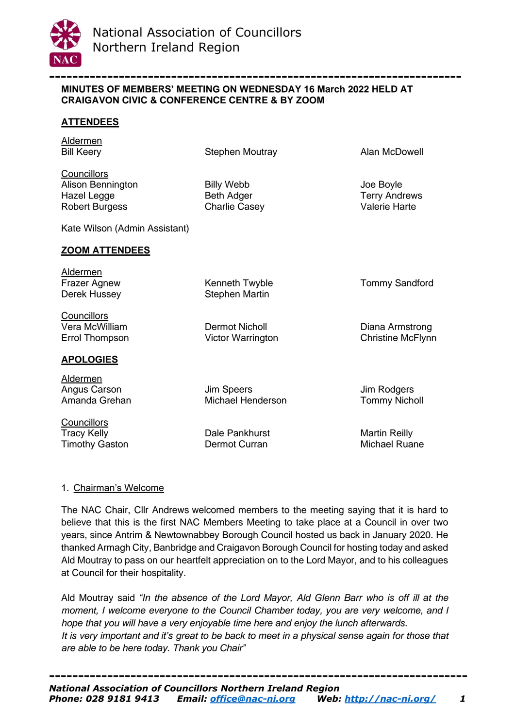

#### **----------------------------------------------------------------------- MINUTES OF MEMBERS' MEETING ON WEDNESDAY 16 March 2022 HELD AT CRAIGAVON CIVIC & CONFERENCE CENTRE & BY ZOOM**

## **ATTENDEES**

Aldermen

Bill Keery **Stephen Moutray** Alan McDowell

**Councillors** Alison Bennington Billy Webb Joe Boyle Hazel Legge Beth Adger Beth Adger Terry Andrews Robert Burgess Charlie Casey Valerie Harte

Kate Wilson (Admin Assistant)

#### **ZOOM ATTENDEES**

Aldermen

Frazer Agnew **Kenneth Twyble Tommy Sandford** Canadage Tommy Sandford Derek Hussey Stephen Martin

**Councillors** Vera McWilliam Dermot Nicholl Diana Armstrong Errol Thompson Victor Warrington Christine McFlynn

# **APOLOGIES**

Aldermen Angus Carson **Jim Speers** Jim Speers Jim Rodgers

**Councillors** Tracy Kelly **Natural Contract Contract Contract Contract Contract Contract Contract Martin Reilly** Timothy Gaston **Dermot Curran** Dermot Curran Michael Ruane

Amanda Grehan Michael Henderson Tommy Nicholl

# 1. Chairman's Welcome

The NAC Chair, Cllr Andrews welcomed members to the meeting saying that it is hard to believe that this is the first NAC Members Meeting to take place at a Council in over two years, since Antrim & Newtownabbey Borough Council hosted us back in January 2020. He thanked Armagh City, Banbridge and Craigavon Borough Council for hosting today and asked Ald Moutray to pass on our heartfelt appreciation on to the Lord Mayor, and to his colleagues at Council for their hospitality.

Ald Moutray said *"In the absence of the Lord Mayor, Ald Glenn Barr who is off ill at the moment, I welcome everyone to the Council Chamber today, you are very welcome, and I hope that you will have a very enjoyable time here and enjoy the lunch afterwards. It is very important and it's great to be back to meet in a physical sense again for those that are able to be here today. Thank you Chair"*

**------------------------------------------------------------------------**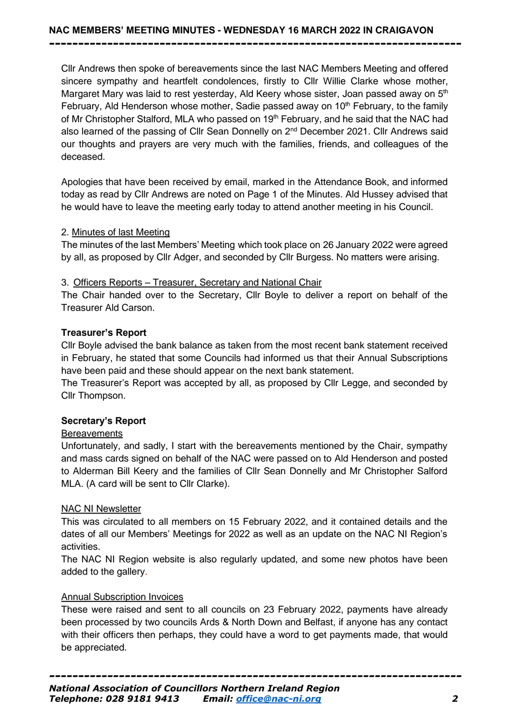Cllr Andrews then spoke of bereavements since the last NAC Members Meeting and offered sincere sympathy and heartfelt condolences, firstly to Cllr Willie Clarke whose mother, Margaret Mary was laid to rest yesterday, Ald Keery whose sister, Joan passed away on 5<sup>th</sup> February, Ald Henderson whose mother, Sadie passed away on  $10<sup>th</sup>$  February, to the family of Mr Christopher Stalford, MLA who passed on 19<sup>th</sup> February, and he said that the NAC had also learned of the passing of Cllr Sean Donnelly on 2<sup>nd</sup> December 2021. Cllr Andrews said our thoughts and prayers are very much with the families, friends, and colleagues of the deceased.

**-----------------------------------------------------------------------**

Apologies that have been received by email, marked in the Attendance Book, and informed today as read by Cllr Andrews are noted on Page 1 of the Minutes. Ald Hussey advised that he would have to leave the meeting early today to attend another meeting in his Council.

#### 2. Minutes of last Meeting

The minutes of the last Members' Meeting which took place on 26 January 2022 were agreed by all, as proposed by Cllr Adger, and seconded by Cllr Burgess. No matters were arising.

#### 3. Officers Reports – Treasurer, Secretary and National Chair

The Chair handed over to the Secretary, Cllr Boyle to deliver a report on behalf of the Treasurer Ald Carson.

#### **Treasurer's Report**

Cllr Boyle advised the bank balance as taken from the most recent bank statement received in February, he stated that some Councils had informed us that their Annual Subscriptions have been paid and these should appear on the next bank statement.

The Treasurer's Report was accepted by all, as proposed by Cllr Legge, and seconded by Cllr Thompson.

#### **Secretary's Report**

#### **Bereavements**

Unfortunately, and sadly, I start with the bereavements mentioned by the Chair, sympathy and mass cards signed on behalf of the NAC were passed on to Ald Henderson and posted to Alderman Bill Keery and the families of Cllr Sean Donnelly and Mr Christopher Salford MLA. (A card will be sent to Cllr Clarke).

#### NAC NI Newsletter

This was circulated to all members on 15 February 2022, and it contained details and the dates of all our Members' Meetings for 2022 as well as an update on the NAC NI Region's activities.

The NAC NI Region website is also regularly updated, and some new photos have been added to the gallery.

#### Annual Subscription Invoices

These were raised and sent to all councils on 23 February 2022, payments have already been processed by two councils Ards & North Down and Belfast, if anyone has any contact with their officers then perhaps, they could have a word to get payments made, that would be appreciated.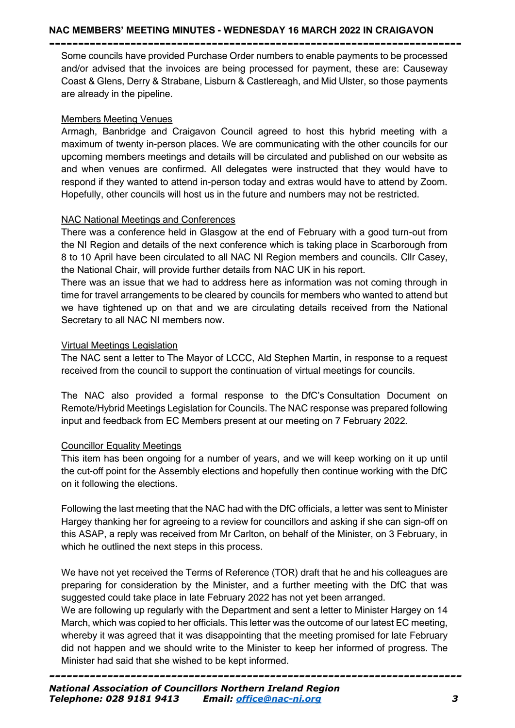### **NAC MEMBERS' MEETING MINUTES - WEDNESDAY 16 MARCH 2022 IN CRAIGAVON**

**-----------------------------------------------------------------------** Some councils have provided Purchase Order numbers to enable payments to be processed and/or advised that the invoices are being processed for payment, these are: Causeway Coast & Glens, Derry & Strabane, Lisburn & Castlereagh, and Mid Ulster, so those payments are already in the pipeline.

### Members Meeting Venues

Armagh, Banbridge and Craigavon Council agreed to host this hybrid meeting with a maximum of twenty in-person places. We are communicating with the other councils for our upcoming members meetings and details will be circulated and published on our website as and when venues are confirmed. All delegates were instructed that they would have to respond if they wanted to attend in-person today and extras would have to attend by Zoom. Hopefully, other councils will host us in the future and numbers may not be restricted.

## NAC National Meetings and Conferences

There was a conference held in Glasgow at the end of February with a good turn-out from the NI Region and details of the next conference which is taking place in Scarborough from 8 to 10 April have been circulated to all NAC NI Region members and councils. Cllr Casey, the National Chair, will provide further details from NAC UK in his report.

There was an issue that we had to address here as information was not coming through in time for travel arrangements to be cleared by councils for members who wanted to attend but we have tightened up on that and we are circulating details received from the National Secretary to all NAC NI members now.

## Virtual Meetings Legislation

The NAC sent a letter to The Mayor of LCCC, Ald Stephen Martin, in response to a request received from the council to support the continuation of virtual meetings for councils.

The NAC also provided a formal response to the DfC's Consultation Document on Remote/Hybrid Meetings Legislation for Councils. The NAC response was prepared following input and feedback from EC Members present at our meeting on 7 February 2022.

# Councillor Equality Meetings

This item has been ongoing for a number of years, and we will keep working on it up until the cut-off point for the Assembly elections and hopefully then continue working with the DfC on it following the elections.

Following the last meeting that the NAC had with the DfC officials, a letter was sent to Minister Hargey thanking her for agreeing to a review for councillors and asking if she can sign-off on this ASAP, a reply was received from Mr Carlton, on behalf of the Minister, on 3 February, in which he outlined the next steps in this process.

We have not yet received the Terms of Reference (TOR) draft that he and his colleagues are preparing for consideration by the Minister, and a further meeting with the DfC that was suggested could take place in late February 2022 has not yet been arranged.

We are following up regularly with the Department and sent a letter to Minister Hargey on 14 March, which was copied to her officials. This letter was the outcome of our latest EC meeting, whereby it was agreed that it was disappointing that the meeting promised for late February did not happen and we should write to the Minister to keep her informed of progress. The Minister had said that she wished to be kept informed.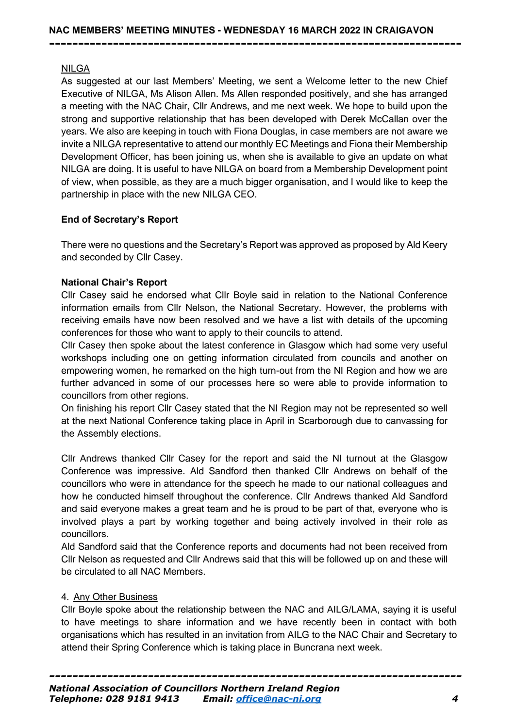**-----------------------------------------------------------------------**

# NILGA

As suggested at our last Members' Meeting, we sent a Welcome letter to the new Chief Executive of NILGA, Ms Alison Allen. Ms Allen responded positively, and she has arranged a meeting with the NAC Chair, Cllr Andrews, and me next week. We hope to build upon the strong and supportive relationship that has been developed with Derek McCallan over the years. We also are keeping in touch with Fiona Douglas, in case members are not aware we invite a NILGA representative to attend our monthly EC Meetings and Fiona their Membership Development Officer, has been joining us, when she is available to give an update on what NILGA are doing. It is useful to have NILGA on board from a Membership Development point of view, when possible, as they are a much bigger organisation, and I would like to keep the partnership in place with the new NILGA CEO.

# **End of Secretary's Report**

There were no questions and the Secretary's Report was approved as proposed by Ald Keery and seconded by Cllr Casey.

## **National Chair's Report**

Cllr Casey said he endorsed what Cllr Boyle said in relation to the National Conference information emails from Cllr Nelson, the National Secretary. However, the problems with receiving emails have now been resolved and we have a list with details of the upcoming conferences for those who want to apply to their councils to attend.

Cllr Casey then spoke about the latest conference in Glasgow which had some very useful workshops including one on getting information circulated from councils and another on empowering women, he remarked on the high turn-out from the NI Region and how we are further advanced in some of our processes here so were able to provide information to councillors from other regions.

On finishing his report Cllr Casey stated that the NI Region may not be represented so well at the next National Conference taking place in April in Scarborough due to canvassing for the Assembly elections.

Cllr Andrews thanked Cllr Casey for the report and said the NI turnout at the Glasgow Conference was impressive. Ald Sandford then thanked Cllr Andrews on behalf of the councillors who were in attendance for the speech he made to our national colleagues and how he conducted himself throughout the conference. Cllr Andrews thanked Ald Sandford and said everyone makes a great team and he is proud to be part of that, everyone who is involved plays a part by working together and being actively involved in their role as councillors.

Ald Sandford said that the Conference reports and documents had not been received from Cllr Nelson as requested and Cllr Andrews said that this will be followed up on and these will be circulated to all NAC Members.

#### 4. Any Other Business

Cllr Boyle spoke about the relationship between the NAC and AILG/LAMA, saying it is useful to have meetings to share information and we have recently been in contact with both organisations which has resulted in an invitation from AILG to the NAC Chair and Secretary to attend their Spring Conference which is taking place in Buncrana next week.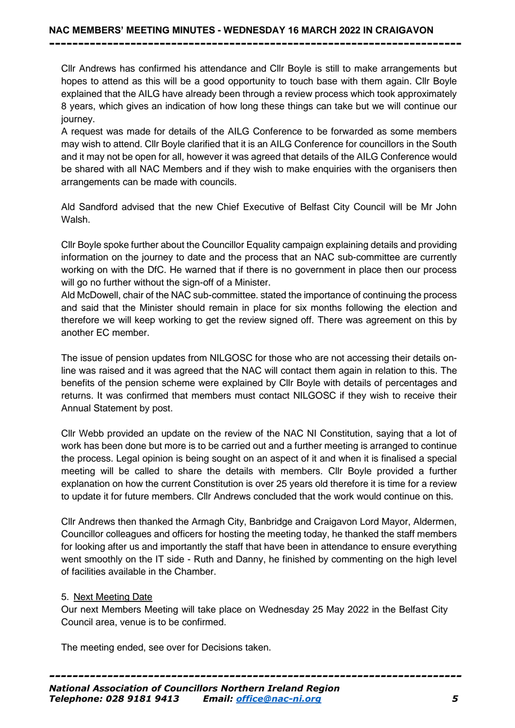Cllr Andrews has confirmed his attendance and Cllr Boyle is still to make arrangements but hopes to attend as this will be a good opportunity to touch base with them again. Cllr Boyle explained that the AILG have already been through a review process which took approximately 8 years, which gives an indication of how long these things can take but we will continue our journey.

**-----------------------------------------------------------------------**

A request was made for details of the AILG Conference to be forwarded as some members may wish to attend. Cllr Boyle clarified that it is an AILG Conference for councillors in the South and it may not be open for all, however it was agreed that details of the AILG Conference would be shared with all NAC Members and if they wish to make enquiries with the organisers then arrangements can be made with councils.

Ald Sandford advised that the new Chief Executive of Belfast City Council will be Mr John Walsh.

Cllr Boyle spoke further about the Councillor Equality campaign explaining details and providing information on the journey to date and the process that an NAC sub-committee are currently working on with the DfC. He warned that if there is no government in place then our process will go no further without the sign-off of a Minister.

Ald McDowell, chair of the NAC sub-committee. stated the importance of continuing the process and said that the Minister should remain in place for six months following the election and therefore we will keep working to get the review signed off. There was agreement on this by another EC member.

The issue of pension updates from NILGOSC for those who are not accessing their details online was raised and it was agreed that the NAC will contact them again in relation to this. The benefits of the pension scheme were explained by Cllr Boyle with details of percentages and returns. It was confirmed that members must contact NILGOSC if they wish to receive their Annual Statement by post.

Cllr Webb provided an update on the review of the NAC NI Constitution, saying that a lot of work has been done but more is to be carried out and a further meeting is arranged to continue the process. Legal opinion is being sought on an aspect of it and when it is finalised a special meeting will be called to share the details with members. Cllr Boyle provided a further explanation on how the current Constitution is over 25 years old therefore it is time for a review to update it for future members. Cllr Andrews concluded that the work would continue on this.

Cllr Andrews then thanked the Armagh City, Banbridge and Craigavon Lord Mayor, Aldermen, Councillor colleagues and officers for hosting the meeting today, he thanked the staff members for looking after us and importantly the staff that have been in attendance to ensure everything went smoothly on the IT side - Ruth and Danny, he finished by commenting on the high level of facilities available in the Chamber.

#### 5. Next Meeting Date

Our next Members Meeting will take place on Wednesday 25 May 2022 in the Belfast City Council area, venue is to be confirmed.

The meeting ended, see over for Decisions taken.